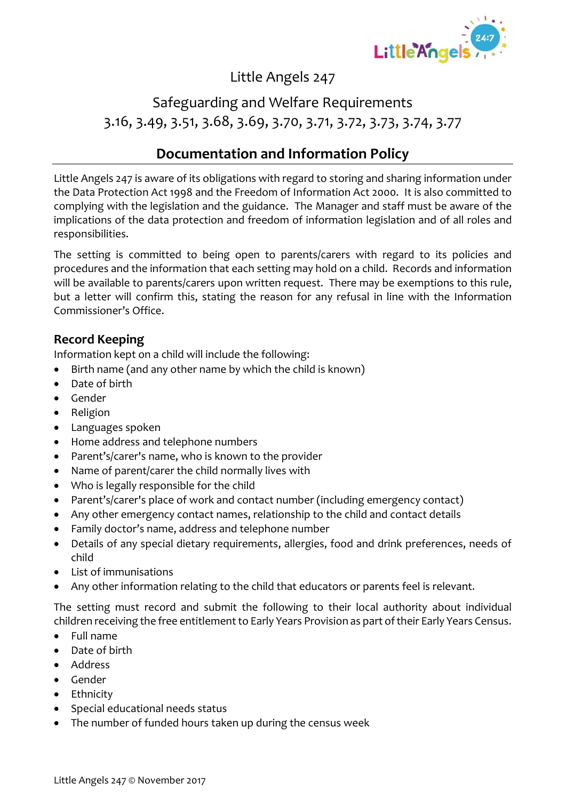

## Little Angels 247

## Safeguarding and Welfare Requirements 3.16, 3.49, 3.51, 3.68, 3.69, 3.70, 3.71, 3.72, 3.73, 3.74, 3.77

### **Documentation and Information Policy**

Little Angels 247 is aware of its obligations with regard to storing and sharing information under the Data Protection Act 1998 and the Freedom of Information Act 2000. It is also committed to complying with the legislation and the guidance. The Manager and staff must be aware of the implications of the data protection and freedom of information legislation and of all roles and responsibilities.

The setting is committed to being open to parents/carers with regard to its policies and procedures and the information that each setting may hold on a child. Records and information will be available to parents/carers upon written request. There may be exemptions to this rule, but a letter will confirm this, stating the reason for any refusal in line with the Information Commissioner's Office.

#### **Record Keeping**

Information kept on a child will include the following:

- Birth name (and any other name by which the child is known)
- Date of birth
- Gender
- Religion
- Languages spoken
- Home address and telephone numbers
- Parent's/carer's name, who is known to the provider
- Name of parent/carer the child normally lives with
- Who is legally responsible for the child
- Parent's/carer's place of work and contact number (including emergency contact)
- Any other emergency contact names, relationship to the child and contact details
- Family doctor's name, address and telephone number
- Details of any special dietary requirements, allergies, food and drink preferences, needs of child
- List of immunisations
- Any other information relating to the child that educators or parents feel is relevant.

The setting must record and submit the following to their local authority about individual children receiving the free entitlement to Early Years Provision as part of their Early Years Census.

- Full name
- Date of birth
- Address
- Gender
- Ethnicity
- Special educational needs status
- The number of funded hours taken up during the census week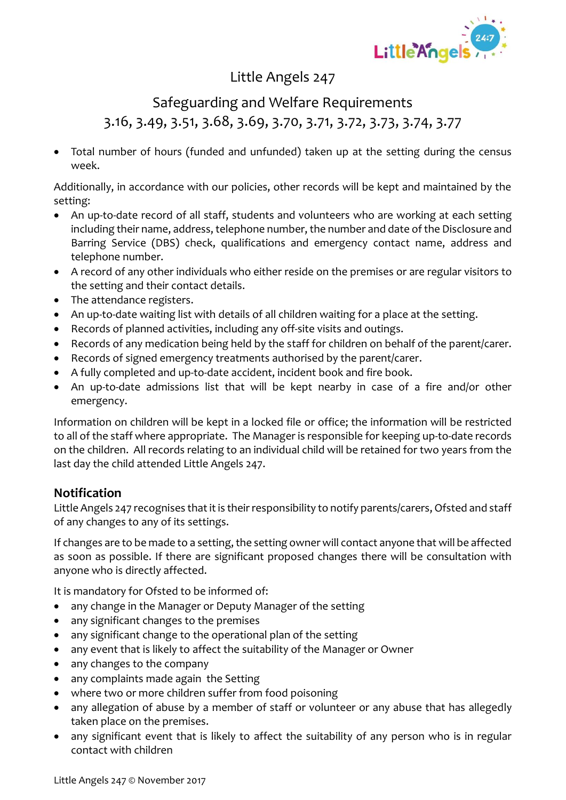

### Little Angels 247

## Safeguarding and Welfare Requirements 3.16, 3.49, 3.51, 3.68, 3.69, 3.70, 3.71, 3.72, 3.73, 3.74, 3.77

• Total number of hours (funded and unfunded) taken up at the setting during the census week.

Additionally, in accordance with our policies, other records will be kept and maintained by the setting:

- An up-to-date record of all staff, students and volunteers who are working at each setting including their name, address, telephone number, the number and date of the Disclosure and Barring Service (DBS) check, qualifications and emergency contact name, address and telephone number.
- A record of any other individuals who either reside on the premises or are regular visitors to the setting and their contact details.
- The attendance registers.
- An up-to-date waiting list with details of all children waiting for a place at the setting.
- Records of planned activities, including any off-site visits and outings.
- Records of any medication being held by the staff for children on behalf of the parent/carer.
- Records of signed emergency treatments authorised by the parent/carer.
- A fully completed and up-to-date accident, incident book and fire book.
- An up-to-date admissions list that will be kept nearby in case of a fire and/or other emergency.

Information on children will be kept in a locked file or office; the information will be restricted to all of the staff where appropriate. The Manager is responsible for keeping up-to-date records on the children. All records relating to an individual child will be retained for two years from the last day the child attended Little Angels 247.

#### **Notification**

Little Angels 247 recognises that it is their responsibility to notify parents/carers, Ofsted and staff of any changes to any of its settings.

If changes are to be made to a setting, the setting owner will contact anyone that will be affected as soon as possible. If there are significant proposed changes there will be consultation with anyone who is directly affected.

It is mandatory for Ofsted to be informed of:

- any change in the Manager or Deputy Manager of the setting
- any significant changes to the premises
- any significant change to the operational plan of the setting
- any event that is likely to affect the suitability of the Manager or Owner
- any changes to the company
- any complaints made again the Setting
- where two or more children suffer from food poisoning
- any allegation of abuse by a member of staff or volunteer or any abuse that has allegedly taken place on the premises.
- any significant event that is likely to affect the suitability of any person who is in regular contact with children